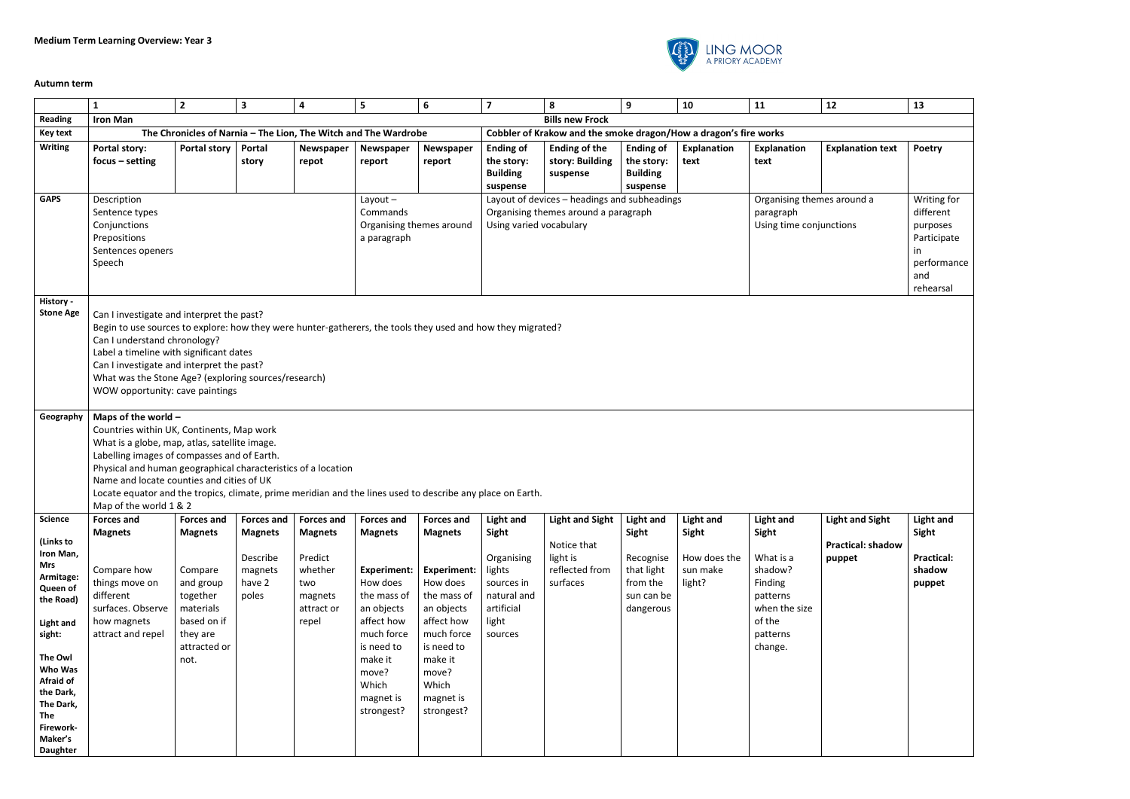

## **Autumn term**

|                    | $\mathbf{1}$                                                                                                | $\overline{2}$ | $\overline{\mathbf{3}}$ | 4                  | 5                                                               | 6                  | $\overline{7}$          | 8                                                                                                    | 9                       | 10                       | 11                                   | 12                       | 13                          |
|--------------------|-------------------------------------------------------------------------------------------------------------|----------------|-------------------------|--------------------|-----------------------------------------------------------------|--------------------|-------------------------|------------------------------------------------------------------------------------------------------|-------------------------|--------------------------|--------------------------------------|--------------------------|-----------------------------|
| Reading            | <b>Iron Man</b>                                                                                             |                |                         |                    |                                                                 |                    |                         | <b>Bills new Frock</b>                                                                               |                         |                          |                                      |                          |                             |
| <b>Key text</b>    |                                                                                                             |                |                         |                    | The Chronicles of Narnia - The Lion, The Witch and The Wardrobe |                    |                         | Cobbler of Krakow and the smoke dragon/How a dragon's fire works                                     |                         |                          |                                      |                          |                             |
| <b>Writing</b>     | <b>Portal story:</b>                                                                                        | Portal story   | Portal                  | Newspaper          | Newspaper                                                       | Newspaper          | <b>Ending of</b>        | <b>Ending of the</b>                                                                                 | <b>Ending of</b>        | Explanation              | <b>Explanation</b>                   | <b>Explanation text</b>  | Poetry                      |
|                    | $focus - setting$                                                                                           |                | story                   | repot              | report                                                          | report             | the story:              | story: Building                                                                                      | the story:              | text                     | text                                 |                          |                             |
|                    |                                                                                                             |                |                         |                    |                                                                 |                    | <b>Building</b>         | suspense                                                                                             | <b>Building</b>         |                          |                                      |                          |                             |
|                    |                                                                                                             |                |                         |                    |                                                                 |                    | suspense                |                                                                                                      | suspense                |                          |                                      |                          |                             |
| <b>GAPS</b>        | Description                                                                                                 |                |                         |                    | Layout-<br>Commands                                             |                    |                         | Layout of devices - headings and subheadings                                                         |                         |                          | Organising themes around a           |                          | Writing for<br>different    |
|                    | Sentence types<br>Conjunctions                                                                              |                |                         |                    | Organising themes around                                        |                    | Using varied vocabulary | Organising themes around a paragraph                                                                 |                         |                          | paragraph<br>Using time conjunctions |                          | purposes                    |
|                    | Prepositions                                                                                                |                |                         |                    | a paragraph                                                     |                    |                         |                                                                                                      |                         |                          |                                      |                          | Participate                 |
|                    | Sentences openers                                                                                           |                |                         |                    |                                                                 |                    |                         |                                                                                                      |                         |                          |                                      |                          | in.                         |
|                    | Speech                                                                                                      |                |                         |                    |                                                                 |                    |                         |                                                                                                      |                         |                          |                                      |                          | performance                 |
|                    |                                                                                                             |                |                         |                    |                                                                 |                    |                         |                                                                                                      |                         |                          |                                      |                          | and                         |
|                    |                                                                                                             |                |                         |                    |                                                                 |                    |                         |                                                                                                      |                         |                          |                                      |                          | rehearsal                   |
| History -          |                                                                                                             |                |                         |                    |                                                                 |                    |                         |                                                                                                      |                         |                          |                                      |                          |                             |
| <b>Stone Age</b>   | Can I investigate and interpret the past?                                                                   |                |                         |                    |                                                                 |                    |                         |                                                                                                      |                         |                          |                                      |                          |                             |
|                    | Begin to use sources to explore: how they were hunter-gatherers, the tools they used and how they migrated? |                |                         |                    |                                                                 |                    |                         |                                                                                                      |                         |                          |                                      |                          |                             |
|                    | Can I understand chronology?<br>Label a timeline with significant dates                                     |                |                         |                    |                                                                 |                    |                         |                                                                                                      |                         |                          |                                      |                          |                             |
|                    | Can I investigate and interpret the past?                                                                   |                |                         |                    |                                                                 |                    |                         |                                                                                                      |                         |                          |                                      |                          |                             |
|                    | What was the Stone Age? (exploring sources/research)                                                        |                |                         |                    |                                                                 |                    |                         |                                                                                                      |                         |                          |                                      |                          |                             |
|                    | WOW opportunity: cave paintings                                                                             |                |                         |                    |                                                                 |                    |                         |                                                                                                      |                         |                          |                                      |                          |                             |
|                    |                                                                                                             |                |                         |                    |                                                                 |                    |                         |                                                                                                      |                         |                          |                                      |                          |                             |
| Geography          | Maps of the world $-$                                                                                       |                |                         |                    |                                                                 |                    |                         |                                                                                                      |                         |                          |                                      |                          |                             |
|                    | Countries within UK, Continents, Map work                                                                   |                |                         |                    |                                                                 |                    |                         |                                                                                                      |                         |                          |                                      |                          |                             |
|                    | What is a globe, map, atlas, satellite image.<br>Labelling images of compasses and of Earth.                |                |                         |                    |                                                                 |                    |                         |                                                                                                      |                         |                          |                                      |                          |                             |
|                    | Physical and human geographical characteristics of a location                                               |                |                         |                    |                                                                 |                    |                         |                                                                                                      |                         |                          |                                      |                          |                             |
|                    | Name and locate counties and cities of UK                                                                   |                |                         |                    |                                                                 |                    |                         |                                                                                                      |                         |                          |                                      |                          |                             |
|                    | Locate equator and the tropics, climate, prime meridian and the lines used to describe any place on Earth.  |                |                         |                    |                                                                 |                    |                         |                                                                                                      |                         |                          |                                      |                          |                             |
|                    | Map of the world 1 & 2                                                                                      |                |                         |                    |                                                                 |                    |                         |                                                                                                      |                         |                          |                                      |                          |                             |
| Science            | <b>Forces and</b>                                                                                           |                |                         |                    |                                                                 |                    |                         | Forces and Forces and Forces and Forces and Forces and Light and Light and Sight Light and Light and |                         |                          | Light and                            | Light and Sight          | Light and                   |
| (Links to          | <b>Magnets</b>                                                                                              | <b>Magnets</b> | <b>Magnets</b>          | <b>Magnets</b>     | <b>Magnets</b>                                                  | <b>Magnets</b>     | Sight                   |                                                                                                      | Sight                   | Sight                    | Sight                                |                          | Sight                       |
| Iron Man,          |                                                                                                             |                |                         |                    |                                                                 |                    |                         | Notice that                                                                                          |                         |                          |                                      | <b>Practical: shadow</b> |                             |
| <b>Mrs</b>         | Compare how                                                                                                 | Compare        | Describe<br>magnets     | Predict<br>whether | <b>Experiment:</b>                                              | <b>Experiment:</b> | Organising<br>lights    | light is<br>reflected from                                                                           | Recognise<br>that light | How does the<br>sun make | What is a<br>shadow?                 | puppet                   | <b>Practical:</b><br>shadow |
| Armitage:          | things move on                                                                                              | and group      | have 2                  | two                | How does                                                        | How does           | sources in              | surfaces                                                                                             | from the                | light?                   | Finding                              |                          | puppet                      |
| Queen of           | different                                                                                                   | together       | poles                   | magnets            | the mass of                                                     | the mass of        | natural and             |                                                                                                      | sun can be              |                          | patterns                             |                          |                             |
| the Road)          | surfaces. Observe                                                                                           | materials      |                         | attract or         | an objects                                                      | an objects         | artificial              |                                                                                                      | dangerous               |                          | when the size                        |                          |                             |
| <b>Light and</b>   | how magnets                                                                                                 | based on if    |                         | repel              | affect how                                                      | affect how         | light                   |                                                                                                      |                         |                          | of the                               |                          |                             |
| sight:             | attract and repel                                                                                           | they are       |                         |                    | much force                                                      | much force         | sources                 |                                                                                                      |                         |                          | patterns                             |                          |                             |
|                    |                                                                                                             | attracted or   |                         |                    | is need to                                                      | is need to         |                         |                                                                                                      |                         |                          | change.                              |                          |                             |
| The Owl<br>Who Was |                                                                                                             | not.           |                         |                    | make it                                                         | make it            |                         |                                                                                                      |                         |                          |                                      |                          |                             |
| Afraid of          |                                                                                                             |                |                         |                    | move?<br>Which                                                  | move?<br>Which     |                         |                                                                                                      |                         |                          |                                      |                          |                             |
| the Dark,          |                                                                                                             |                |                         |                    | magnet is                                                       | magnet is          |                         |                                                                                                      |                         |                          |                                      |                          |                             |
| The Dark,          |                                                                                                             |                |                         |                    | strongest?                                                      | strongest?         |                         |                                                                                                      |                         |                          |                                      |                          |                             |
| The                |                                                                                                             |                |                         |                    |                                                                 |                    |                         |                                                                                                      |                         |                          |                                      |                          |                             |
| Firework-          |                                                                                                             |                |                         |                    |                                                                 |                    |                         |                                                                                                      |                         |                          |                                      |                          |                             |
| <b>Daughter</b>    |                                                                                                             |                |                         |                    |                                                                 |                    |                         |                                                                                                      |                         |                          |                                      |                          |                             |
| Maker's            |                                                                                                             |                |                         |                    |                                                                 |                    |                         |                                                                                                      |                         |                          |                                      |                          |                             |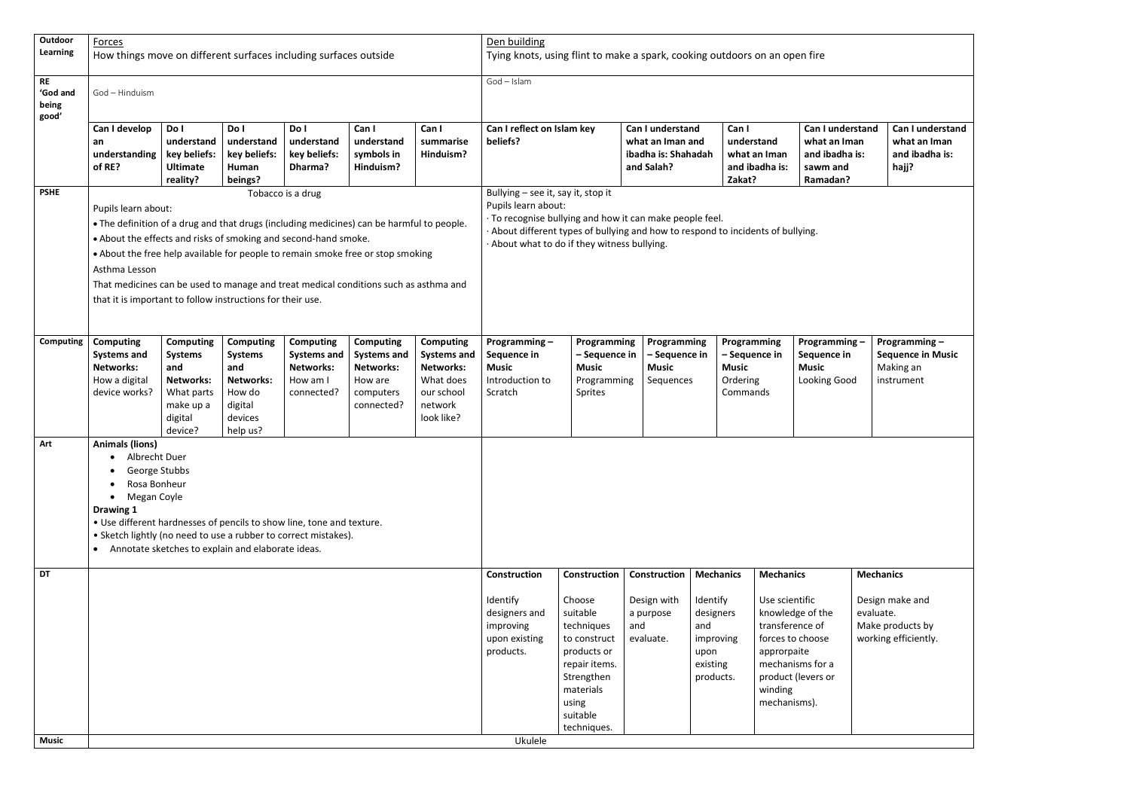| Outdoor                                 | Forces                                                                                                                                                                                                                                                                                                                                                                                                                                        |                                                                                                                |                                                                                                           |                                                                                      |                                                                                                  |                                                                                                                | Den building                                                                         |                                                                                                                                                                                                                                                       |                                                                           |                                                                                                |                                                                                                 |                                                                                   |                               |                                                                     |
|-----------------------------------------|-----------------------------------------------------------------------------------------------------------------------------------------------------------------------------------------------------------------------------------------------------------------------------------------------------------------------------------------------------------------------------------------------------------------------------------------------|----------------------------------------------------------------------------------------------------------------|-----------------------------------------------------------------------------------------------------------|--------------------------------------------------------------------------------------|--------------------------------------------------------------------------------------------------|----------------------------------------------------------------------------------------------------------------|--------------------------------------------------------------------------------------|-------------------------------------------------------------------------------------------------------------------------------------------------------------------------------------------------------------------------------------------------------|---------------------------------------------------------------------------|------------------------------------------------------------------------------------------------|-------------------------------------------------------------------------------------------------|-----------------------------------------------------------------------------------|-------------------------------|---------------------------------------------------------------------|
| Learning                                | How things move on different surfaces including surfaces outside                                                                                                                                                                                                                                                                                                                                                                              |                                                                                                                |                                                                                                           |                                                                                      |                                                                                                  |                                                                                                                | Tying knots, using flint to make a spark, cooking outdoors on an open fire           |                                                                                                                                                                                                                                                       |                                                                           |                                                                                                |                                                                                                 |                                                                                   |                               |                                                                     |
| <b>RE</b><br>'God and<br>being<br>good' | God - Hinduism                                                                                                                                                                                                                                                                                                                                                                                                                                |                                                                                                                |                                                                                                           |                                                                                      |                                                                                                  |                                                                                                                | God - Islam                                                                          |                                                                                                                                                                                                                                                       |                                                                           |                                                                                                |                                                                                                 |                                                                                   |                               |                                                                     |
|                                         | Can I develop<br>an<br>understanding<br>of RE?                                                                                                                                                                                                                                                                                                                                                                                                | Do I<br>understand<br>key beliefs:<br><b>Ultimate</b><br>reality?                                              | Do I<br>understand<br>key beliefs:<br>Human<br>beings?                                                    | Do I<br>understand<br>key beliefs:<br>Dharma?                                        | Can I<br>understand<br>symbols in<br>Hinduism?                                                   | Can I<br>summarise<br>Hinduism?                                                                                | Can I reflect on Islam key<br>beliefs?                                               |                                                                                                                                                                                                                                                       | Can I understand<br>what an Iman and<br>ibadha is: Shahadah<br>and Salah? | Can I<br>Zakat?                                                                                | understand<br>what an Iman<br>and ibadha is:                                                    | <b>Can I understand</b><br>what an Iman<br>and ibadha is:<br>sawm and<br>Ramadan? |                               | Can I understand<br>what an Iman<br>and ibadha is:<br>hajj?         |
| <b>PSHE</b>                             | Pupils learn about:<br>. The definition of a drug and that drugs (including medicines) can be harmful to people.<br>. About the effects and risks of smoking and second-hand smoke.<br>• About the free help available for people to remain smoke free or stop smoking<br>Asthma Lesson<br>That medicines can be used to manage and treat medical conditions such as asthma and<br>that it is important to follow instructions for their use. |                                                                                                                |                                                                                                           | Tobacco is a drug                                                                    |                                                                                                  |                                                                                                                |                                                                                      | Bullying - see it, say it, stop it<br>Pupils learn about:<br>· To recognise bullying and how it can make people feel.<br>About different types of bullying and how to respond to incidents of bullying.<br>About what to do if they witness bullying. |                                                                           |                                                                                                |                                                                                                 |                                                                                   |                               |                                                                     |
| Computing                               | <b>Computing</b><br><b>Systems and</b><br><b>Networks:</b><br>How a digital<br>device works?                                                                                                                                                                                                                                                                                                                                                  | <b>Computing</b><br><b>Systems</b><br>and<br><b>Networks:</b><br>What parts<br>make up a<br>digital<br>device? | <b>Computing</b><br><b>Systems</b><br>and<br><b>Networks:</b><br>How do<br>digital<br>devices<br>help us? | <b>Computing</b><br><b>Systems and</b><br><b>Networks:</b><br>How am I<br>connected? | <b>Computing</b><br><b>Systems and</b><br><b>Networks:</b><br>How are<br>computers<br>connected? | <b>Computing</b><br><b>Systems and</b><br><b>Networks:</b><br>What does<br>our school<br>network<br>look like? | Programming-<br>Sequence in<br><b>Music</b><br>Introduction to<br>Scratch            | Programming<br>- Sequence in<br><b>Music</b><br>Programming<br>Sprites                                                                                                                                                                                | Programming<br>- Sequence in<br><b>Music</b><br>Sequences                 | <b>Music</b><br>Ordering<br>Commands                                                           | Programming<br>- Sequence in                                                                    | Programming -<br>Sequence in<br><b>Music</b><br>Looking Good                      |                               | Programming-<br><b>Sequence in Music</b><br>Making an<br>instrument |
| Art                                     | <b>Animals (lions)</b><br>• Albrecht Duer<br>George Stubbs<br>Rosa Bonheur<br>Megan Coyle<br>$\bullet$<br>Drawing 1<br>• Use different hardnesses of pencils to show line, tone and texture.<br>• Sketch lightly (no need to use a rubber to correct mistakes).                                                                                                                                                                               |                                                                                                                | Annotate sketches to explain and elaborate ideas.                                                         |                                                                                      |                                                                                                  |                                                                                                                |                                                                                      |                                                                                                                                                                                                                                                       |                                                                           |                                                                                                |                                                                                                 |                                                                                   |                               |                                                                     |
| <b>DT</b>                               |                                                                                                                                                                                                                                                                                                                                                                                                                                               |                                                                                                                |                                                                                                           |                                                                                      |                                                                                                  |                                                                                                                | Construction<br>Identify<br>designers and<br>improving<br>upon existing<br>products. | <b>Construction</b><br>Choose<br>suitable<br>techniques<br>to construct<br>products or<br>repair items.<br>Strengthen<br>materials<br>using<br>suitable<br>techniques.                                                                                | Construction<br>Design with<br>a purpose<br>and<br>evaluate.              | <b>Mechanics</b><br>Identify<br>designers<br>and<br>improving<br>upon<br>existing<br>products. | <b>Mechanics</b><br>Use scientific<br>transference of<br>approrpaite<br>winding<br>mechanisms). | knowledge of the<br>forces to choose<br>mechanisms for a<br>product (levers or    | <b>Mechanics</b><br>evaluate. | Design make and<br>Make products by<br>working efficiently.         |
| <b>Music</b>                            |                                                                                                                                                                                                                                                                                                                                                                                                                                               |                                                                                                                |                                                                                                           |                                                                                      |                                                                                                  |                                                                                                                | Ukulele                                                                              |                                                                                                                                                                                                                                                       |                                                                           |                                                                                                |                                                                                                 |                                                                                   |                               |                                                                     |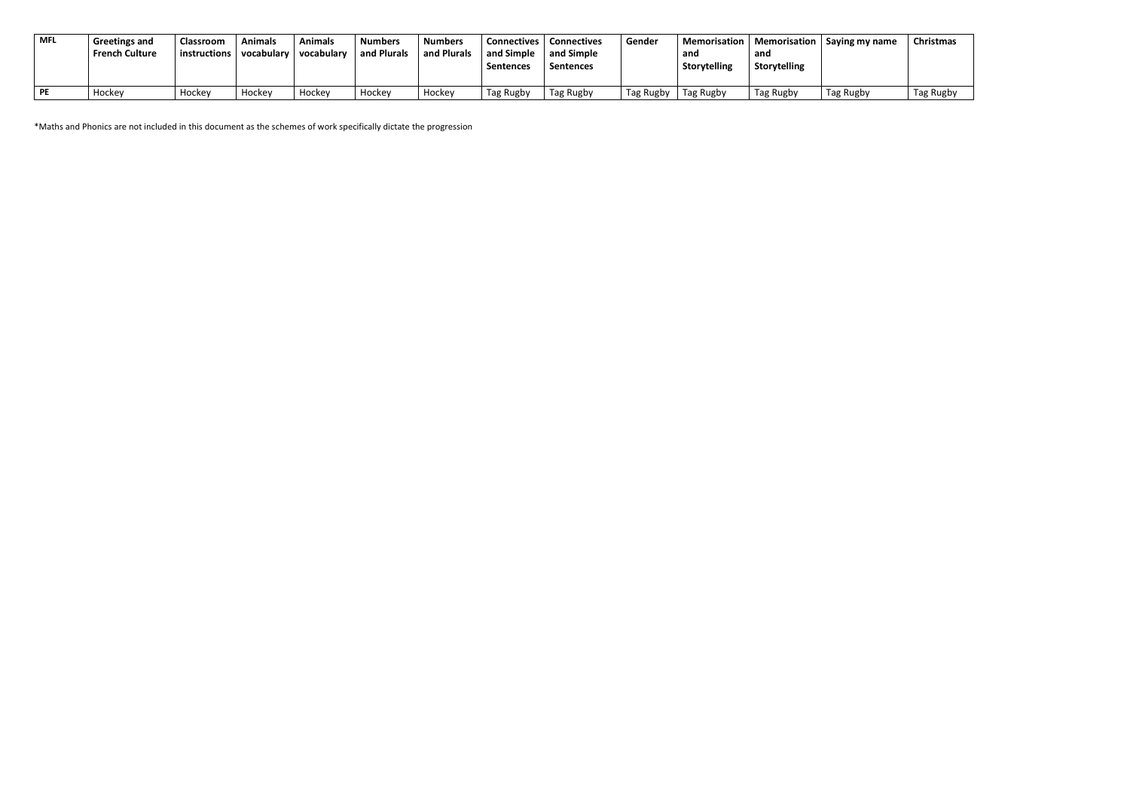| <b>MFL</b> | <b>Greetings and</b><br><b>French Culture</b> | Classroom<br>instructions | Animals<br>vocabulary | Animals<br>  vocabularv | <b>Numbers</b><br>and Plurals | <b>Numbers</b><br>and Plurals | <b>Connectives</b><br>and Simple<br><b>Sentences</b> | <b>Connectives</b><br>and Simple<br><b>Sentences</b> | Gender    | and<br>Storytelling | and<br><b>Storytelling</b> | Memorisation   Memorisation   Saying my name | Christmas |
|------------|-----------------------------------------------|---------------------------|-----------------------|-------------------------|-------------------------------|-------------------------------|------------------------------------------------------|------------------------------------------------------|-----------|---------------------|----------------------------|----------------------------------------------|-----------|
| PE         | Hockey                                        | Hockey                    | Hockey                | Hockey                  | Hockey                        | Hockey                        | Tag Rugby                                            | Tag Rugby                                            | Tag Rugby | Tag Rugby           | Tag Rugby                  | Tag Rugby                                    | Tag Rugby |

\*Maths and Phonics are not included in this document as the schemes of work specifically dictate the progression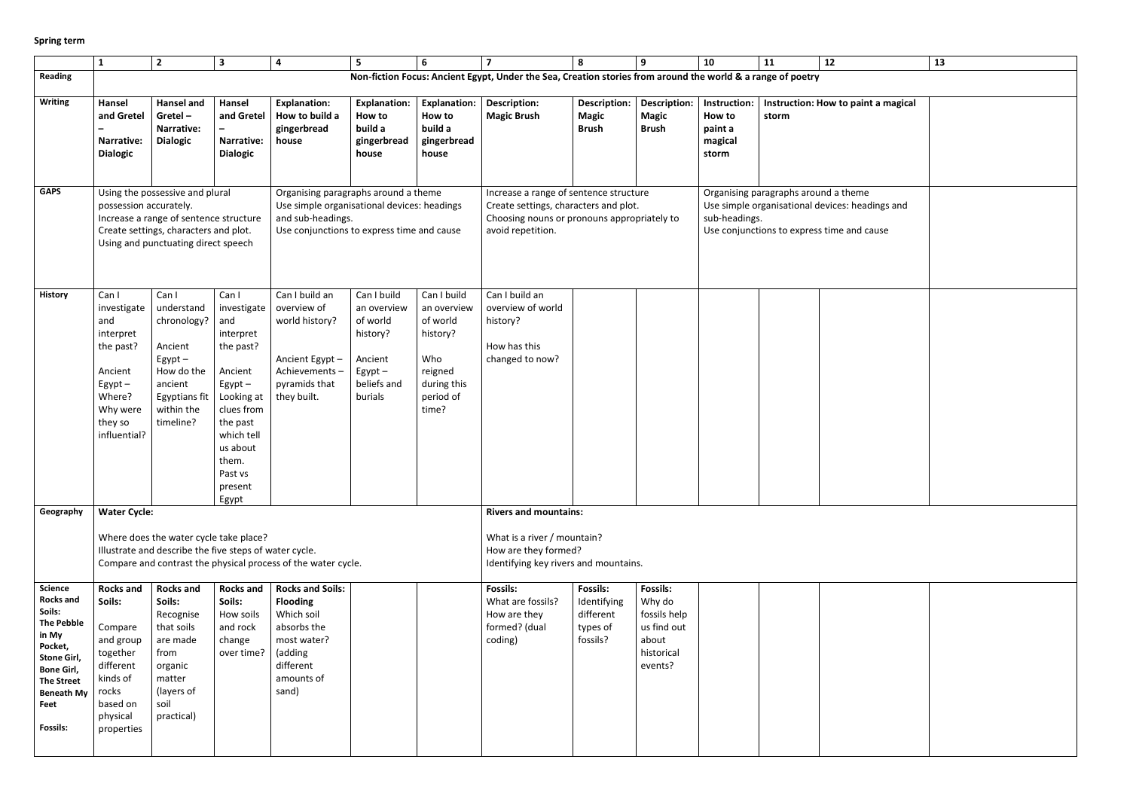## **Spring term**

| $\overline{12}$       | 13 |
|-----------------------|----|
|                       |    |
|                       |    |
| ow to paint a magical |    |
|                       |    |
|                       |    |
|                       |    |
|                       |    |
|                       |    |
| d a theme             |    |
| vices: headings and   |    |
| time and cause        |    |
|                       |    |
|                       |    |
|                       |    |
|                       |    |
|                       |    |
|                       |    |
|                       |    |
|                       |    |
|                       |    |
|                       |    |
|                       |    |
|                       |    |
|                       |    |
|                       |    |
|                       |    |
|                       |    |
|                       |    |
|                       |    |
|                       |    |
|                       |    |
|                       |    |
|                       |    |
|                       |    |
|                       |    |
|                       |    |
|                       |    |
|                       |    |
|                       |    |
|                       |    |
|                       |    |
|                       |    |
|                       |    |
|                       |    |
|                       |    |
|                       |    |
|                       |    |

|                                                                                                                                                                                                | $\mathbf{1}$                                                                                                                           | $\overline{2}$                                                                                                                                            | $\overline{\mathbf{3}}$                                                                                                                                                                    | $\overline{\mathbf{4}}$                                                                                                                                | 5                                                                                                       | 6                                                                                                         | $\overline{7}$                                                                                                                                      | 8                                                                   | 9                                                                                          | 10                                                           | 11                                   | 12                                                                                            |  |
|------------------------------------------------------------------------------------------------------------------------------------------------------------------------------------------------|----------------------------------------------------------------------------------------------------------------------------------------|-----------------------------------------------------------------------------------------------------------------------------------------------------------|--------------------------------------------------------------------------------------------------------------------------------------------------------------------------------------------|--------------------------------------------------------------------------------------------------------------------------------------------------------|---------------------------------------------------------------------------------------------------------|-----------------------------------------------------------------------------------------------------------|-----------------------------------------------------------------------------------------------------------------------------------------------------|---------------------------------------------------------------------|--------------------------------------------------------------------------------------------|--------------------------------------------------------------|--------------------------------------|-----------------------------------------------------------------------------------------------|--|
| <b>Reading</b>                                                                                                                                                                                 |                                                                                                                                        |                                                                                                                                                           |                                                                                                                                                                                            |                                                                                                                                                        |                                                                                                         |                                                                                                           | Non-fiction Focus: Ancient Egypt, Under the Sea, Creation stories from around the world & a range of poetry                                         |                                                                     |                                                                                            |                                                              |                                      |                                                                                               |  |
| <b>Writing</b>                                                                                                                                                                                 | Hansel<br>and Gretel<br><b>Narrative:</b><br><b>Dialogic</b>                                                                           | Hansel and<br>Gretel $-$<br><b>Narrative:</b><br><b>Dialogic</b>                                                                                          | Hansel<br>and Gretel<br>Narrative:<br><b>Dialogic</b>                                                                                                                                      | <b>Explanation:</b><br>How to build a<br>gingerbread<br>house                                                                                          | <b>Explanation:</b><br>How to<br>build a<br>gingerbread<br>house                                        | <b>Explanation:</b><br>How to<br>build a<br>gingerbread<br>house                                          | <b>Description:</b><br><b>Magic Brush</b>                                                                                                           | <b>Description:</b><br><b>Magic</b><br><b>Brush</b>                 | <b>Description:</b><br><b>Magic</b><br><b>Brush</b>                                        | Instruction:<br><b>How to</b><br>paint a<br>magical<br>storm | storm                                | Instruction: How to paint a magical                                                           |  |
| <b>GAPS</b>                                                                                                                                                                                    | possession accurately.                                                                                                                 | Using the possessive and plural<br>Increase a range of sentence structure<br>Create settings, characters and plot.<br>Using and punctuating direct speech |                                                                                                                                                                                            | Organising paragraphs around a theme<br>Use simple organisational devices: headings<br>and sub-headings.<br>Use conjunctions to express time and cause |                                                                                                         |                                                                                                           | Increase a range of sentence structure<br>Create settings, characters and plot.<br>Choosing nouns or pronouns appropriately to<br>avoid repetition. |                                                                     |                                                                                            | sub-headings.                                                | Organising paragraphs around a theme | Use simple organisational devices: headings and<br>Use conjunctions to express time and cause |  |
| <b>History</b>                                                                                                                                                                                 | Can I<br>investigate<br>and<br>interpret<br>the past?<br>Ancient<br>$E$ gypt $-$<br>Where?<br>Why were<br>they so<br>influential?      | Can I<br>understand<br>chronology?<br>Ancient<br>$Egypt -$<br>How do the<br>ancient<br>Egyptians fit<br>within the<br>timeline?                           | Can I<br>investigate<br>and<br>interpret<br>the past?<br>Ancient<br>$E$ gypt $-$<br>Looking at<br>clues from<br>the past<br>which tell<br>us about<br>them.<br>Past vs<br>present<br>Egypt | Can I build an<br>overview of<br>world history?<br>Ancient Egypt-<br>Achievements-<br>pyramids that<br>they built.                                     | Can I build<br>an overview<br>of world<br>history?<br>Ancient<br>$E$ gypt $-$<br>beliefs and<br>burials | Can I build<br>an overview<br>of world<br>history?<br>Who<br>reigned<br>during this<br>period of<br>time? | Can I build an<br>overview of world<br>history?<br>How has this<br>changed to now?                                                                  |                                                                     |                                                                                            |                                                              |                                      |                                                                                               |  |
| Geography                                                                                                                                                                                      | <b>Water Cycle:</b>                                                                                                                    | Where does the water cycle take place?<br>Illustrate and describe the five steps of water cycle.                                                          |                                                                                                                                                                                            | Compare and contrast the physical process of the water cycle.                                                                                          |                                                                                                         |                                                                                                           | <b>Rivers and mountains:</b><br>What is a river / mountain?<br>How are they formed?<br>Identifying key rivers and mountains.                        |                                                                     |                                                                                            |                                                              |                                      |                                                                                               |  |
|                                                                                                                                                                                                |                                                                                                                                        |                                                                                                                                                           |                                                                                                                                                                                            |                                                                                                                                                        |                                                                                                         |                                                                                                           |                                                                                                                                                     |                                                                     |                                                                                            |                                                              |                                      |                                                                                               |  |
| <b>Science</b><br><b>Rocks and</b><br>Soils:<br><b>The Pebble</b><br>in My<br>Pocket,<br>Stone Girl,<br><b>Bone Girl,</b><br><b>The Street</b><br><b>Beneath My</b><br>Feet<br><b>Fossils:</b> | <b>Rocks and</b><br>Soils:<br>Compare<br>and group<br>together<br>different<br>kinds of<br>rocks<br>based on<br>physical<br>properties | <b>Rocks and</b><br>Soils:<br>Recognise<br>that soils<br>are made<br>from<br>organic<br>matter<br>(layers of<br>soil<br>practical)                        | <b>Rocks and</b><br>Soils:<br>How soils<br>and rock<br>change<br>over time?                                                                                                                | <b>Rocks and Soils:</b><br><b>Flooding</b><br>Which soil<br>absorbs the<br>most water?<br>(adding<br>different<br>amounts of<br>sand)                  |                                                                                                         |                                                                                                           | <b>Fossils:</b><br>What are fossils?<br>How are they<br>formed? (dual<br>coding)                                                                    | <b>Fossils:</b><br>Identifying<br>different<br>types of<br>fossils? | <b>Fossils:</b><br>Why do<br>fossils help<br>us find out<br>about<br>historical<br>events? |                                                              |                                      |                                                                                               |  |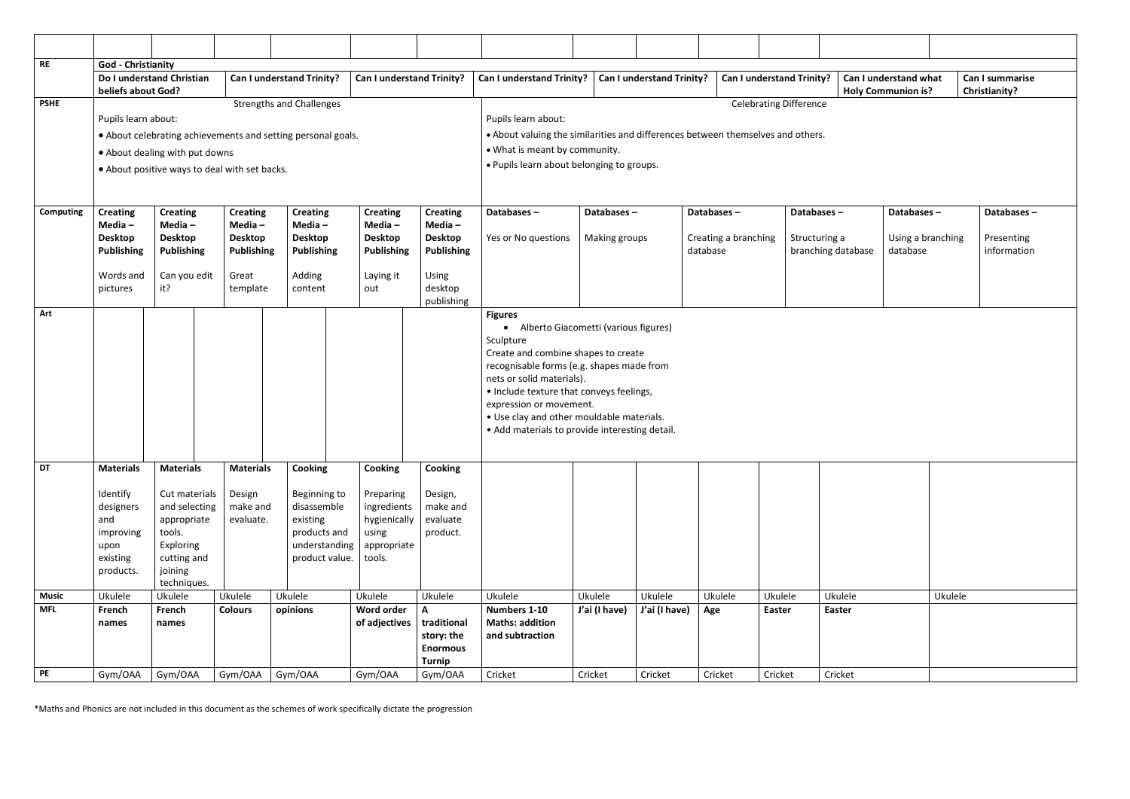|         | Can I understand what<br><b>Holy Communion is?</b> |         | Can I summarise<br>Christianity? |  |
|---------|----------------------------------------------------|---------|----------------------------------|--|
|         |                                                    |         |                                  |  |
|         |                                                    |         |                                  |  |
|         |                                                    |         |                                  |  |
|         |                                                    |         |                                  |  |
|         |                                                    |         |                                  |  |
|         | Databases-                                         |         | Databases-                       |  |
| I       | Using a branching                                  |         | Presenting                       |  |
| atabase | database                                           |         | information                      |  |
|         |                                                    |         |                                  |  |
|         |                                                    |         |                                  |  |
|         |                                                    |         |                                  |  |
|         |                                                    |         |                                  |  |
|         |                                                    |         |                                  |  |
|         |                                                    |         |                                  |  |
|         |                                                    |         |                                  |  |
|         |                                                    |         |                                  |  |
|         |                                                    |         |                                  |  |
|         |                                                    |         |                                  |  |
|         |                                                    |         |                                  |  |
|         |                                                    |         |                                  |  |
|         |                                                    |         |                                  |  |
|         |                                                    |         |                                  |  |
|         |                                                    |         |                                  |  |
| ele     |                                                    | Ukulele |                                  |  |
| er      |                                                    |         |                                  |  |
|         |                                                    |         |                                  |  |
|         |                                                    |         |                                  |  |
| et)     |                                                    |         |                                  |  |

| <b>RE</b>        | <b>God - Christianity</b><br>beliefs about God?                                                | Do I understand Christian                                                                                                         |                                                                                       | Can I understand Trinity?                                                                             | Can I understand Trinity?                                                               |                                                                                                                                                                                                                                                                                                                                                              | Can I understand Trinity?                                                                                                                                                                                             |                             | Can I understand Trinity? |                                                | <b>Can I understand Trinity?</b> |                                                   | Can I understand what<br><b>Holy Communion is?</b> |
|------------------|------------------------------------------------------------------------------------------------|-----------------------------------------------------------------------------------------------------------------------------------|---------------------------------------------------------------------------------------|-------------------------------------------------------------------------------------------------------|-----------------------------------------------------------------------------------------|--------------------------------------------------------------------------------------------------------------------------------------------------------------------------------------------------------------------------------------------------------------------------------------------------------------------------------------------------------------|-----------------------------------------------------------------------------------------------------------------------------------------------------------------------------------------------------------------------|-----------------------------|---------------------------|------------------------------------------------|----------------------------------|---------------------------------------------------|----------------------------------------------------|
| <b>PSHE</b>      | Pupils learn about:                                                                            | • About dealing with put downs<br>• About positive ways to deal with set backs.                                                   |                                                                                       | <b>Strengths and Challenges</b><br>• About celebrating achievements and setting personal goals.       |                                                                                         |                                                                                                                                                                                                                                                                                                                                                              | <b>Celebrating Difference</b><br>Pupils learn about:<br>. About valuing the similarities and differences between themselves and others.<br>• What is meant by community.<br>. Pupils learn about belonging to groups. |                             |                           |                                                |                                  |                                                   |                                                    |
| <b>Computing</b> | <b>Creating</b><br>Media-<br><b>Desktop</b><br>Publishing<br>Words and<br>pictures             | <b>Creating</b><br>Media $-$<br><b>Desktop</b><br><b>Publishing</b><br>Can you edit<br>it?                                        | <b>Creating</b><br>Media-<br><b>Desktop</b><br><b>Publishing</b><br>Great<br>template | <b>Creating</b><br>Media -<br><b>Desktop</b><br><b>Publishing</b><br>Adding<br>content                | <b>Creating</b><br>Media $-$<br><b>Desktop</b><br><b>Publishing</b><br>Laying it<br>out | <b>Creating</b><br>Media-<br><b>Desktop</b><br><b>Publishing</b><br><b>Using</b><br>desktop<br>publishing                                                                                                                                                                                                                                                    | Databases-<br>Yes or No questions                                                                                                                                                                                     | Databases-<br>Making groups |                           | Databases-<br>Creating a branching<br>database |                                  | Databases-<br>Structuring a<br>branching database | Databases-<br>Using a branching<br>database        |
| Art              |                                                                                                |                                                                                                                                   |                                                                                       |                                                                                                       |                                                                                         | <b>Figures</b><br>• Alberto Giacometti (various figures)<br>Sculpture<br>Create and combine shapes to create<br>recognisable forms (e.g. shapes made from<br>nets or solid materials).<br>• Include texture that conveys feelings,<br>expression or movement.<br>• Use clay and other mouldable materials.<br>• Add materials to provide interesting detail. |                                                                                                                                                                                                                       |                             |                           |                                                |                                  |                                                   |                                                    |
| DT               | <b>Materials</b><br>Identify<br>designers<br>and<br>improving<br>upon<br>existing<br>products. | <b>Materials</b><br>Cut materials<br>and selecting<br>appropriate<br>tools.<br>Exploring<br>cutting and<br>joining<br>techniques. | <b>Materials</b><br>Design<br>make and<br>evaluate.                                   | Cooking<br>Beginning to<br>disassemble<br>existing<br>products and<br>understanding<br>product value. | Cooking<br>Preparing<br>ingredients<br>hygienically<br>using<br>appropriate<br>tools.   | Cooking<br>Design,<br>make and<br>evaluate<br>product.                                                                                                                                                                                                                                                                                                       |                                                                                                                                                                                                                       |                             |                           |                                                |                                  |                                                   |                                                    |
| <b>Music</b>     | Ukulele                                                                                        | Ukulele                                                                                                                           | Ukulele                                                                               | Ukulele                                                                                               | Ukulele                                                                                 | Ukulele                                                                                                                                                                                                                                                                                                                                                      | Ukulele                                                                                                                                                                                                               | Ukulele                     | Ukulele                   | Ukulele                                        | Ukulele                          | Ukulele                                           | Ukulele                                            |
| <b>MFL</b>       | French<br>names                                                                                | French<br>names                                                                                                                   | <b>Colours</b>                                                                        | opinions                                                                                              | Word order<br>of adjectives                                                             | A<br>traditional<br>story: the<br><b>Enormous</b><br><b>Turnip</b>                                                                                                                                                                                                                                                                                           | Numbers 1-10<br><b>Maths: addition</b><br>and subtraction                                                                                                                                                             | J'ai (I have)               | J'ai (I have)             | Age                                            | Easter                           | <b>Easter</b>                                     |                                                    |
| PE               | Gym/OAA                                                                                        | Gym/OAA                                                                                                                           | Gym/OAA                                                                               | Gym/OAA                                                                                               | Gym/OAA                                                                                 | Gym/OAA                                                                                                                                                                                                                                                                                                                                                      | Cricket                                                                                                                                                                                                               | Cricket                     | Cricket                   | Cricket                                        | Cricket                          | Cricket                                           |                                                    |

\*Maths and Phonics are not included in this document as the schemes of work specifically dictate the progression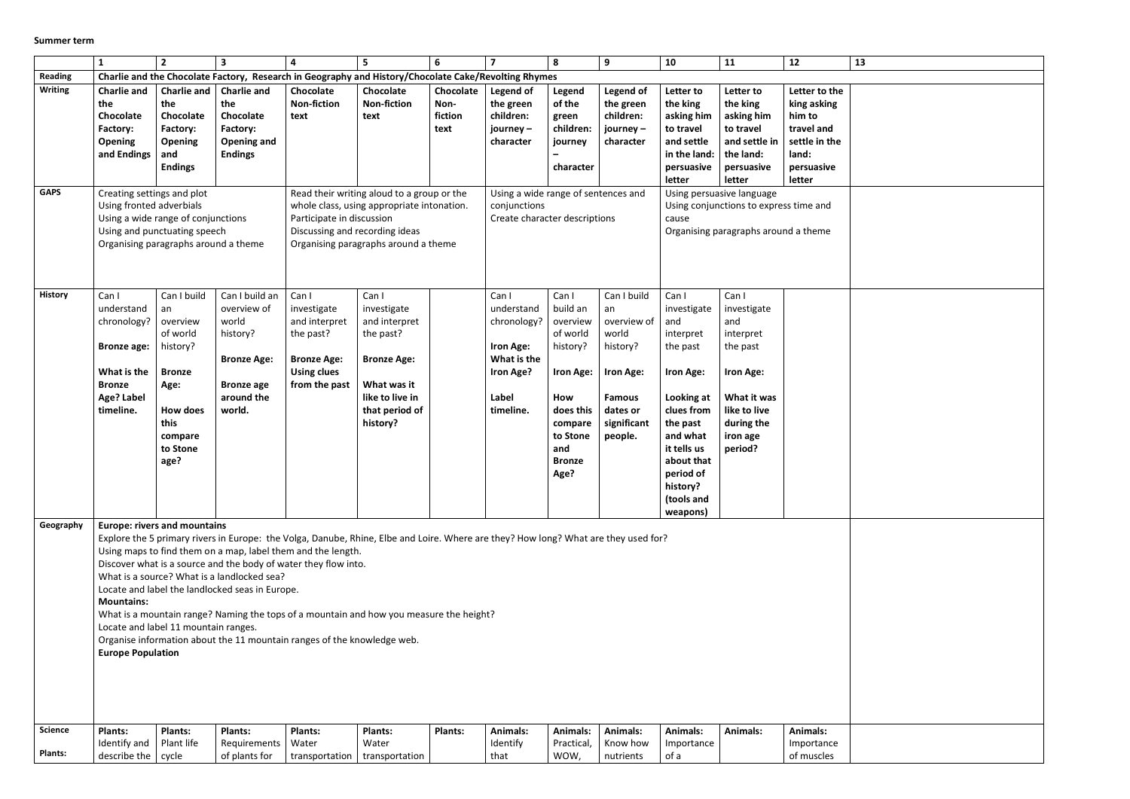|                               | 1                                                                                                                                                                                                                                                                                                                                                                                                                                                                                                                                                                                                                                                                                          | $\overline{2}$                                                                                                                           | $\overline{\mathbf{3}}$                                                                                               | 4                                                                                                               | 5                                                                                                                                                                           | 6                                    | $\overline{7}$                                                                                                                                        | 8                                                                                                                                             | 9                                                                                                                         | 10                                                                                                                                                                                        | 11                                                                                                                                                                                                                    | 12                                                                                                     | 13 |
|-------------------------------|--------------------------------------------------------------------------------------------------------------------------------------------------------------------------------------------------------------------------------------------------------------------------------------------------------------------------------------------------------------------------------------------------------------------------------------------------------------------------------------------------------------------------------------------------------------------------------------------------------------------------------------------------------------------------------------------|------------------------------------------------------------------------------------------------------------------------------------------|-----------------------------------------------------------------------------------------------------------------------|-----------------------------------------------------------------------------------------------------------------|-----------------------------------------------------------------------------------------------------------------------------------------------------------------------------|--------------------------------------|-------------------------------------------------------------------------------------------------------------------------------------------------------|-----------------------------------------------------------------------------------------------------------------------------------------------|---------------------------------------------------------------------------------------------------------------------------|-------------------------------------------------------------------------------------------------------------------------------------------------------------------------------------------|-----------------------------------------------------------------------------------------------------------------------------------------------------------------------------------------------------------------------|--------------------------------------------------------------------------------------------------------|----|
| Reading                       |                                                                                                                                                                                                                                                                                                                                                                                                                                                                                                                                                                                                                                                                                            |                                                                                                                                          |                                                                                                                       | Charlie and the Chocolate Factory, Research in Geography and History/Chocolate Cake/Revolting Rhymes            |                                                                                                                                                                             |                                      |                                                                                                                                                       |                                                                                                                                               |                                                                                                                           |                                                                                                                                                                                           |                                                                                                                                                                                                                       |                                                                                                        |    |
| <b>Writing</b><br><b>GAPS</b> | <b>Charlie and</b><br>the<br>Chocolate<br>Factory:<br><b>Opening</b><br>and Endings<br>Creating settings and plot<br>Using fronted adverbials<br>Using a wide range of conjunctions<br>Using and punctuating speech<br>Organising paragraphs around a theme                                                                                                                                                                                                                                                                                                                                                                                                                                | the<br>Chocolate<br>Factory:<br><b>Opening</b><br>and<br><b>Endings</b>                                                                  | Charlie and   Charlie and<br>the<br>Chocolate<br>Factory:<br>Opening and<br><b>Endings</b>                            | Chocolate<br><b>Non-fiction</b><br>text<br>Participate in discussion<br>Discussing and recording ideas          | Chocolate<br><b>Non-fiction</b><br>text<br>Read their writing aloud to a group or the<br>whole class, using appropriate intonation.<br>Organising paragraphs around a theme | Chocolate<br>Non-<br>fiction<br>text | Legend of<br>the green<br>children:<br>journey –<br>character<br>Using a wide range of sentences and<br>conjunctions<br>Create character descriptions | Legend<br>of the<br>green<br>children:<br>journey<br>character                                                                                | Legend of<br>the green<br>children:<br>journey -<br>character                                                             | Letter to<br>the king<br>asking him<br>to travel<br>and settle<br>in the land:<br>persuasive<br>letter<br>cause                                                                           | Letter to<br>the king<br>asking him<br>to travel<br>and settle in<br>the land:<br>persuasive<br>letter<br>Using persuasive language<br>Using conjunctions to express time and<br>Organising paragraphs around a theme | Letter to the<br>king asking<br>him to<br>travel and<br>settle in the<br>land:<br>persuasive<br>letter |    |
| <b>History</b>                | Can I<br>understand<br>chronology?<br><b>Bronze age:</b><br>What is the<br><b>Bronze</b><br>Age? Label<br>timeline.                                                                                                                                                                                                                                                                                                                                                                                                                                                                                                                                                                        | Can I build<br>an<br>overview<br>of world<br>history?<br><b>Bronze</b><br>Age:<br><b>How does</b><br>this<br>compare<br>to Stone<br>age? | Can I build an<br>overview of<br>world<br>history?<br><b>Bronze Age:</b><br><b>Bronze age</b><br>around the<br>world. | Can I<br>investigate<br>and interpret<br>the past?<br><b>Bronze Age:</b><br><b>Using clues</b><br>from the past | Can I<br>investigate<br>and interpret<br>the past?<br><b>Bronze Age:</b><br>What was it<br>like to live in<br>that period of<br>history?                                    |                                      | Can I<br>understand<br>chronology?<br>Iron Age:<br>What is the<br>Iron Age?<br>Label<br>timeline.                                                     | Can I<br>build an<br>overview<br>of world<br>history?<br>Iron Age:<br>How<br>does this<br>compare<br>to Stone<br>and<br><b>Bronze</b><br>Age? | Can I build<br>an<br>overview of<br>world<br>history?<br>Iron Age:<br><b>Famous</b><br>dates or<br>significant<br>people. | Can I<br>investigate<br>and<br>interpret<br>the past<br>Iron Age:<br>Looking at<br>clues from<br>the past<br>and what<br>it tells us<br>about that<br>period of<br>history?<br>(tools and | Can I<br>investigate<br>and<br>interpret<br>the past<br>Iron Age:<br>What it was<br>like to live<br>during the<br>iron age<br>period?                                                                                 |                                                                                                        |    |
| Geography                     | weapons)<br><b>Europe: rivers and mountains</b><br>Explore the 5 primary rivers in Europe: the Volga, Danube, Rhine, Elbe and Loire. Where are they? How long? What are they used for?<br>Using maps to find them on a map, label them and the length.<br>Discover what is a source and the body of water they flow into.<br>What is a source? What is a landlocked sea?<br>Locate and label the landlocked seas in Europe.<br><b>Mountains:</b><br>What is a mountain range? Naming the tops of a mountain and how you measure the height?<br>Locate and label 11 mountain ranges.<br>Organise information about the 11 mountain ranges of the knowledge web.<br><b>Europe Population</b> |                                                                                                                                          |                                                                                                                       |                                                                                                                 |                                                                                                                                                                             |                                      |                                                                                                                                                       |                                                                                                                                               |                                                                                                                           |                                                                                                                                                                                           |                                                                                                                                                                                                                       |                                                                                                        |    |
| <b>Science</b>                | Plants:                                                                                                                                                                                                                                                                                                                                                                                                                                                                                                                                                                                                                                                                                    | <b>Plants:</b>                                                                                                                           | <b>Plants:</b>                                                                                                        | <b>Plants:</b>                                                                                                  | <b>Plants:</b>                                                                                                                                                              | <b>Plants:</b>                       | <b>Animals:</b>                                                                                                                                       | <b>Animals:</b>                                                                                                                               | <b>Animals:</b>                                                                                                           | Animals:                                                                                                                                                                                  | <b>Animals:</b>                                                                                                                                                                                                       | <b>Animals:</b>                                                                                        |    |
|                               | Identify and                                                                                                                                                                                                                                                                                                                                                                                                                                                                                                                                                                                                                                                                               | Plant life                                                                                                                               | Requirements                                                                                                          | Water                                                                                                           | Water                                                                                                                                                                       |                                      | Identify                                                                                                                                              | Practical,                                                                                                                                    | Know how                                                                                                                  | Importance                                                                                                                                                                                |                                                                                                                                                                                                                       | Importance                                                                                             |    |
| <b>Plants:</b>                | describe the $ $ cycle                                                                                                                                                                                                                                                                                                                                                                                                                                                                                                                                                                                                                                                                     |                                                                                                                                          | of plants for                                                                                                         | transportation                                                                                                  | transportation                                                                                                                                                              |                                      | that                                                                                                                                                  | WOW,                                                                                                                                          | nutrients                                                                                                                 | of a                                                                                                                                                                                      |                                                                                                                                                                                                                       | of muscles                                                                                             |    |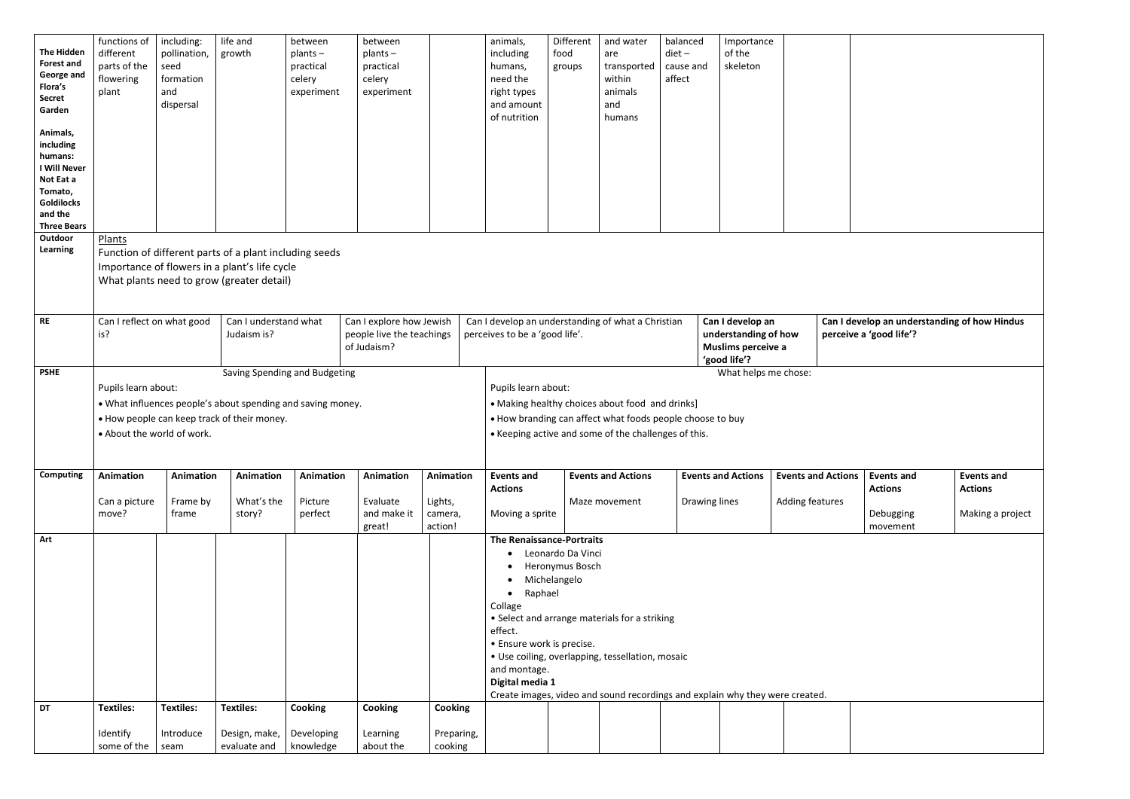| <b>The Hidden</b><br><b>Forest and</b><br>George and<br>Flora's<br><b>Secret</b><br>Garden<br>Animals,<br>including<br>humans:<br><b>I Will Never</b><br>Not Eat a<br>Tomato,<br><b>Goldilocks</b><br>and the<br><b>Three Bears</b> | functions of<br>different<br>parts of the<br>flowering<br>plant | including:<br>pollination,<br>seed<br>formation<br>and<br>dispersal | life and<br>growth                                                                                                                                   | between<br>$plants -$<br>practical<br>celery<br>experiment | between<br>$plants -$<br>practical<br>celery<br>experiment           |                                            | animals,<br>including<br>humans,<br>need the<br>right types<br>and amount<br>of nutrition                                                                                                                                                                                                                                                                                      | Different<br>food<br>groups | and water<br>are<br>transported<br>within<br>animals<br>and<br>humans                                                                                                | balanced<br>$\text{dict}$ –<br>cause and<br>affect | Importance<br>of the<br>skeleton                                               |                 |                           |                                                              |
|-------------------------------------------------------------------------------------------------------------------------------------------------------------------------------------------------------------------------------------|-----------------------------------------------------------------|---------------------------------------------------------------------|------------------------------------------------------------------------------------------------------------------------------------------------------|------------------------------------------------------------|----------------------------------------------------------------------|--------------------------------------------|--------------------------------------------------------------------------------------------------------------------------------------------------------------------------------------------------------------------------------------------------------------------------------------------------------------------------------------------------------------------------------|-----------------------------|----------------------------------------------------------------------------------------------------------------------------------------------------------------------|----------------------------------------------------|--------------------------------------------------------------------------------|-----------------|---------------------------|--------------------------------------------------------------|
| Outdoor<br>Learning                                                                                                                                                                                                                 | Plants                                                          |                                                                     | Function of different parts of a plant including seeds<br>Importance of flowers in a plant's life cycle<br>What plants need to grow (greater detail) |                                                            |                                                                      |                                            |                                                                                                                                                                                                                                                                                                                                                                                |                             |                                                                                                                                                                      |                                                    |                                                                                |                 |                           |                                                              |
| <b>RE</b>                                                                                                                                                                                                                           | Can I reflect on what good<br>is?                               |                                                                     | Can I understand what<br>Judaism is?                                                                                                                 |                                                            | Can I explore how Jewish<br>people live the teachings<br>of Judaism? |                                            | Can I develop an understanding of what a Christian<br>perceives to be a 'good life'.                                                                                                                                                                                                                                                                                           |                             |                                                                                                                                                                      |                                                    | Can I develop an<br>understanding of how<br>Muslims perceive a<br>'good life'? |                 |                           | Can I develop an understandir<br>perceive a 'good life'?     |
| <b>PSHE</b>                                                                                                                                                                                                                         | Pupils learn about:<br>• About the world of work.               |                                                                     | • What influences people's about spending and saving money.<br>• How people can keep track of their money.                                           | Saving Spending and Budgeting                              |                                                                      |                                            | Pupils learn about:                                                                                                                                                                                                                                                                                                                                                            |                             | • Making healthy choices about food and drinks]<br>• How branding can affect what foods people choose to buy<br>• Keeping active and some of the challenges of this. |                                                    | What helps me chose:                                                           |                 |                           |                                                              |
| <b>Computing</b>                                                                                                                                                                                                                    | Animation<br>Can a picture<br>move?                             | <b>Animation</b><br>Frame by<br>frame                               | Animation<br>What's the<br>story?                                                                                                                    | <b>Animation</b><br>Picture<br>perfect                     | <b>Animation</b><br>Evaluate<br>and make it<br>great!                | Animation<br>Lights,<br>camera,<br>action! | <b>Events and</b><br><b>Actions</b><br>Moving a sprite                                                                                                                                                                                                                                                                                                                         |                             | <b>Events and Actions</b><br>Maze movement                                                                                                                           |                                                    | <b>Events and Actions</b><br>Drawing lines                                     | Adding features | <b>Events and Actions</b> | <b>Events and</b><br><b>Actions</b><br>Debugging<br>movement |
| Art                                                                                                                                                                                                                                 |                                                                 |                                                                     |                                                                                                                                                      |                                                            |                                                                      |                                            | <b>The Renaissance-Portraits</b><br>Leonardo Da Vinci<br>Heronymus Bosch<br>Michelangelo<br>Raphael<br>Collage<br>• Select and arrange materials for a striking<br>effect.<br>• Ensure work is precise.<br>• Use coiling, overlapping, tessellation, mosaic<br>and montage.<br>Digital media 1<br>Create images, video and sound recordings and explain why they were created. |                             |                                                                                                                                                                      |                                                    |                                                                                |                 |                           |                                                              |
| <b>DT</b>                                                                                                                                                                                                                           | <b>Textiles:</b>                                                | <b>Textiles:</b>                                                    | <b>Textiles:</b>                                                                                                                                     | <b>Cooking</b>                                             | <b>Cooking</b>                                                       | <b>Cooking</b>                             |                                                                                                                                                                                                                                                                                                                                                                                |                             |                                                                                                                                                                      |                                                    |                                                                                |                 |                           |                                                              |
|                                                                                                                                                                                                                                     | Identify<br>some of the                                         | Introduce<br>seam                                                   | Design, make,<br>evaluate and                                                                                                                        | Developing<br>knowledge                                    | Learning<br>about the                                                | Preparing,<br>cooking                      |                                                                                                                                                                                                                                                                                                                                                                                |                             |                                                                                                                                                                      |                                                    |                                                                                |                 |                           |                                                              |

|                | perceive a 'good life'?             | Can I develop an understanding of how Hindus |
|----------------|-------------------------------------|----------------------------------------------|
|                |                                     |                                              |
|                |                                     |                                              |
|                |                                     |                                              |
| <b>Actions</b> | <b>Events and</b><br><b>Actions</b> | <b>Events and</b><br><b>Actions</b>          |
| tures          | Debugging<br>movement               | Making a project                             |
|                |                                     |                                              |
|                |                                     |                                              |
|                |                                     |                                              |
|                |                                     |                                              |
| J.             |                                     |                                              |
|                |                                     |                                              |
|                |                                     |                                              |